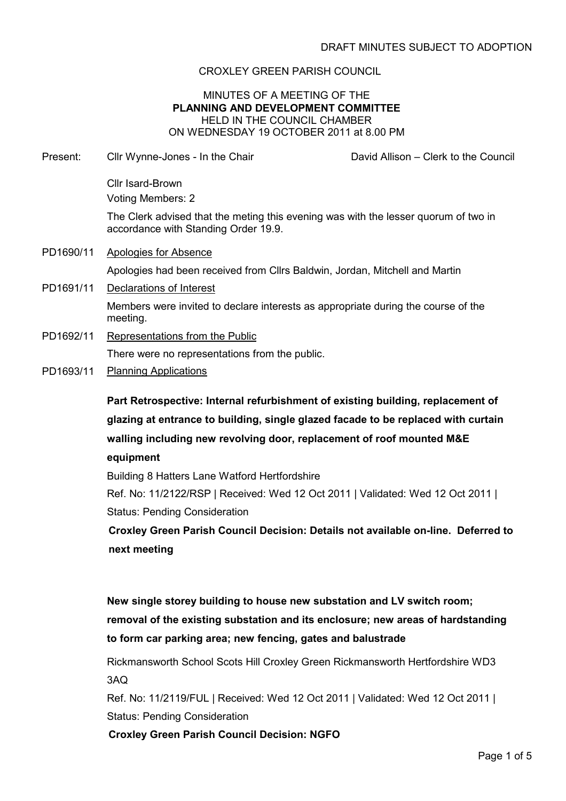### CROXLEY GREEN PARISH COUNCIL

### MINUTES OF A MEETING OF THE PLANNING AND DEVELOPMENT COMMITTEE HELD IN THE COUNCIL CHAMBER ON WEDNESDAY 19 OCTOBER 2011 at 8.00 PM

| Present:  | Cllr Wynne-Jones - In the Chair                                                                                             | David Allison - Clerk to the Council |
|-----------|-----------------------------------------------------------------------------------------------------------------------------|--------------------------------------|
|           | <b>Cllr Isard-Brown</b>                                                                                                     |                                      |
|           | <b>Voting Members: 2</b>                                                                                                    |                                      |
|           | The Clerk advised that the meting this evening was with the lesser quorum of two in<br>accordance with Standing Order 19.9. |                                      |
| PD1690/11 | <b>Apologies for Absence</b>                                                                                                |                                      |
|           | Apologies had been received from Cllrs Baldwin, Jordan, Mitchell and Martin                                                 |                                      |
| PD1691/11 | Declarations of Interest                                                                                                    |                                      |
|           | Members were invited to declare interests as appropriate during the course of the<br>meeting.                               |                                      |
| PD1692/11 | Representations from the Public                                                                                             |                                      |
|           | There were no representations from the public.                                                                              |                                      |
| PD1693/11 | <b>Planning Applications</b>                                                                                                |                                      |
|           | Part Retrospective: Internal refurbishment of existing building, replacement of                                             |                                      |
|           | glazing at entrance to building, single glazed facade to be replaced with curtain                                           |                                      |
|           | walling including new revolving door, replacement of roof mounted M&E                                                       |                                      |
|           | equipment                                                                                                                   |                                      |
|           | Building 8 Hatters Lane Watford Hertfordshire                                                                               |                                      |
|           | Ref. No: 11/2122/RSP   Received: Wed 12 Oct 2011   Validated: Wed 12 Oct 2011                                               |                                      |
|           | <b>Status: Pending Consideration</b>                                                                                        |                                      |
|           | Croxley Green Parish Council Decision: Details not available on-line. Deferred to                                           |                                      |
|           |                                                                                                                             |                                      |

### next meeting

New single storey building to house new substation and LV switch room; removal of the existing substation and its enclosure; new areas of hardstanding to form car parking area; new fencing, gates and balustrade

Rickmansworth School Scots Hill Croxley Green Rickmansworth Hertfordshire WD3 3AQ

Ref. No: 11/2119/FUL | Received: Wed 12 Oct 2011 | Validated: Wed 12 Oct 2011 | Status: Pending Consideration

Croxley Green Parish Council Decision: NGFO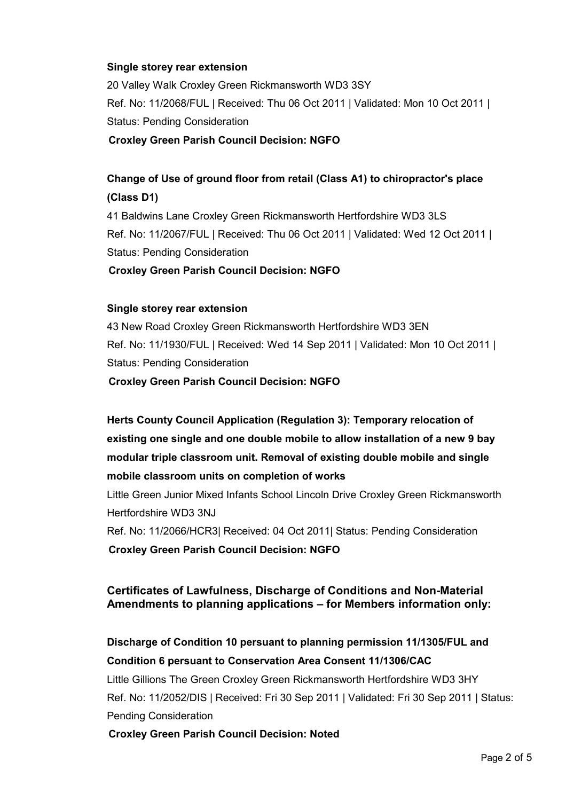### Single storey rear extension

20 Valley Walk Croxley Green Rickmansworth WD3 3SY Ref. No: 11/2068/FUL | Received: Thu 06 Oct 2011 | Validated: Mon 10 Oct 2011 | Status: Pending Consideration Croxley Green Parish Council Decision: NGFO

# Change of Use of ground floor from retail (Class A1) to chiropractor's place (Class D1)

41 Baldwins Lane Croxley Green Rickmansworth Hertfordshire WD3 3LS Ref. No: 11/2067/FUL | Received: Thu 06 Oct 2011 | Validated: Wed 12 Oct 2011 | Status: Pending Consideration

Croxley Green Parish Council Decision: NGFO

## Single storey rear extension

43 New Road Croxley Green Rickmansworth Hertfordshire WD3 3EN Ref. No: 11/1930/FUL | Received: Wed 14 Sep 2011 | Validated: Mon 10 Oct 2011 | Status: Pending Consideration Croxley Green Parish Council Decision: NGFO

Herts County Council Application (Regulation 3): Temporary relocation of existing one single and one double mobile to allow installation of a new 9 bay modular triple classroom unit. Removal of existing double mobile and single mobile classroom units on completion of works

Little Green Junior Mixed Infants School Lincoln Drive Croxley Green Rickmansworth Hertfordshire WD3 3NJ

Ref. No: 11/2066/HCR3| Received: 04 Oct 2011| Status: Pending Consideration Croxley Green Parish Council Decision: NGFO

## Certificates of Lawfulness, Discharge of Conditions and Non-Material Amendments to planning applications – for Members information only:

# Discharge of Condition 10 persuant to planning permission 11/1305/FUL and Condition 6 persuant to Conservation Area Consent 11/1306/CAC

Little Gillions The Green Croxley Green Rickmansworth Hertfordshire WD3 3HY Ref. No: 11/2052/DIS | Received: Fri 30 Sep 2011 | Validated: Fri 30 Sep 2011 | Status: Pending Consideration

Croxley Green Parish Council Decision: Noted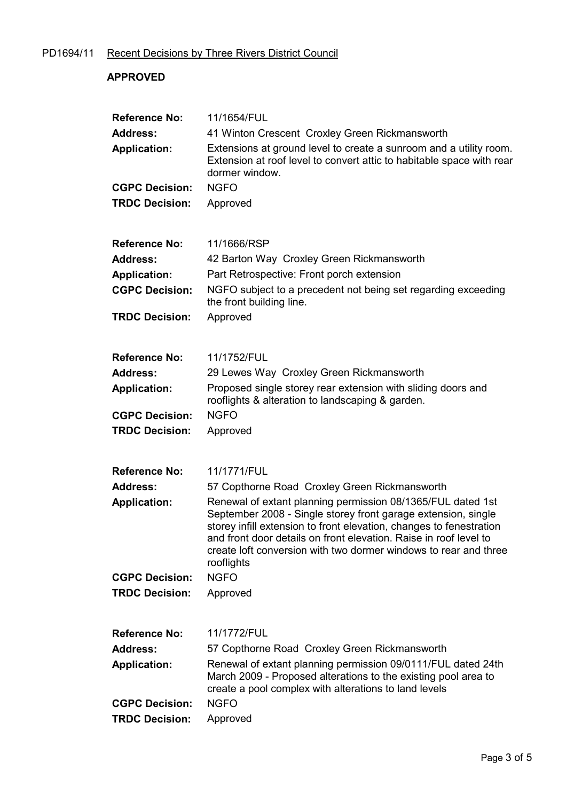# PD1694/11 Recent Decisions by Three Rivers District Council

## APPROVED

| <b>Reference No:</b><br><b>Address:</b> | 11/1654/FUL<br>41 Winton Crescent Croxley Green Rickmansworth                                                                                                                                                                                                                                                                                              |
|-----------------------------------------|------------------------------------------------------------------------------------------------------------------------------------------------------------------------------------------------------------------------------------------------------------------------------------------------------------------------------------------------------------|
| <b>Application:</b>                     | Extensions at ground level to create a sunroom and a utility room.<br>Extension at roof level to convert attic to habitable space with rear<br>dormer window.                                                                                                                                                                                              |
| <b>CGPC Decision:</b>                   | <b>NGFO</b>                                                                                                                                                                                                                                                                                                                                                |
| <b>TRDC Decision:</b>                   | Approved                                                                                                                                                                                                                                                                                                                                                   |
| <b>Reference No:</b>                    | 11/1666/RSP                                                                                                                                                                                                                                                                                                                                                |
| <b>Address:</b>                         | 42 Barton Way Croxley Green Rickmansworth                                                                                                                                                                                                                                                                                                                  |
| <b>Application:</b>                     | Part Retrospective: Front porch extension                                                                                                                                                                                                                                                                                                                  |
| <b>CGPC Decision:</b>                   | NGFO subject to a precedent not being set regarding exceeding<br>the front building line.                                                                                                                                                                                                                                                                  |
| <b>TRDC Decision:</b>                   | Approved                                                                                                                                                                                                                                                                                                                                                   |
| <b>Reference No:</b>                    | 11/1752/FUL                                                                                                                                                                                                                                                                                                                                                |
| <b>Address:</b>                         | 29 Lewes Way Croxley Green Rickmansworth                                                                                                                                                                                                                                                                                                                   |
| <b>Application:</b>                     | Proposed single storey rear extension with sliding doors and<br>rooflights & alteration to landscaping & garden.                                                                                                                                                                                                                                           |
| <b>CGPC Decision:</b>                   | <b>NGFO</b>                                                                                                                                                                                                                                                                                                                                                |
| <b>TRDC Decision:</b>                   | Approved                                                                                                                                                                                                                                                                                                                                                   |
| <b>Reference No:</b>                    | 11/1771/FUL                                                                                                                                                                                                                                                                                                                                                |
| <b>Address:</b>                         | 57 Copthorne Road Croxley Green Rickmansworth                                                                                                                                                                                                                                                                                                              |
| <b>Application:</b>                     | Renewal of extant planning permission 08/1365/FUL dated 1st<br>September 2008 - Single storey front garage extension, single<br>storey infill extension to front elevation, changes to fenestration<br>and front door details on front elevation. Raise in roof level to<br>create loft conversion with two dormer windows to rear and three<br>rooflights |
| <b>CGPC Decision:</b>                   | <b>NGFO</b>                                                                                                                                                                                                                                                                                                                                                |
| <b>TRDC Decision:</b>                   | Approved                                                                                                                                                                                                                                                                                                                                                   |
| <b>Reference No:</b>                    | 11/1772/FUL                                                                                                                                                                                                                                                                                                                                                |
| <b>Address:</b>                         | 57 Copthorne Road Croxley Green Rickmansworth                                                                                                                                                                                                                                                                                                              |
| <b>Application:</b>                     | Renewal of extant planning permission 09/0111/FUL dated 24th<br>March 2009 - Proposed alterations to the existing pool area to<br>create a pool complex with alterations to land levels                                                                                                                                                                    |
| <b>CGPC Decision:</b>                   | <b>NGFO</b>                                                                                                                                                                                                                                                                                                                                                |
| <b>TRDC Decision:</b>                   | Approved                                                                                                                                                                                                                                                                                                                                                   |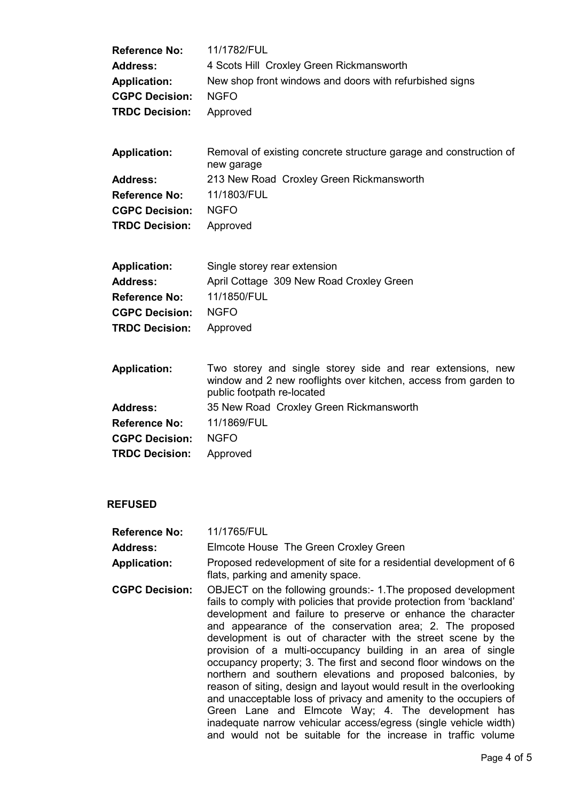| <b>Reference No:</b><br><b>Address:</b><br><b>Application:</b><br><b>CGPC Decision:</b><br><b>TRDC Decision:</b> | 11/1782/FUL<br>4 Scots Hill Croxley Green Rickmansworth<br>New shop front windows and doors with refurbished signs<br><b>NGFO</b><br>Approved               |
|------------------------------------------------------------------------------------------------------------------|-------------------------------------------------------------------------------------------------------------------------------------------------------------|
| <b>Application:</b>                                                                                              | Removal of existing concrete structure garage and construction of<br>new garage                                                                             |
| <b>Address:</b><br><b>Reference No:</b><br><b>CGPC Decision:</b><br><b>TRDC Decision:</b>                        | 213 New Road Croxley Green Rickmansworth<br>11/1803/FUL<br><b>NGFO</b><br>Approved                                                                          |
| <b>Application:</b><br><b>Address:</b><br><b>Reference No:</b><br><b>CGPC Decision:</b><br><b>TRDC Decision:</b> | Single storey rear extension<br>April Cottage 309 New Road Croxley Green<br>11/1850/FUL<br><b>NGFO</b><br>Approved                                          |
| <b>Application:</b>                                                                                              | Two storey and single storey side and rear extensions, new<br>window and 2 new rooflights over kitchen, access from garden to<br>public footpath re-located |
| <b>Address:</b>                                                                                                  | 35 New Road Croxley Green Rickmansworth                                                                                                                     |
| <b>Reference No:</b>                                                                                             | 11/1869/FUL                                                                                                                                                 |
| <b>CGPC Decision:</b><br><b>TRDC Decision:</b>                                                                   | <b>NGFO</b><br>Approved                                                                                                                                     |
| <b>REFUSED</b>                                                                                                   |                                                                                                                                                             |
| Daforonce No: .                                                                                                  | $11/1765$ [ $\Box$ ]                                                                                                                                        |

| <b>Reference No:</b>  | 11/1765/FUL                                                                                                                                                                                                                                                                                                                                                                                                                                                                                                                                                                                                                                                                                                                                                                                                                                                                |
|-----------------------|----------------------------------------------------------------------------------------------------------------------------------------------------------------------------------------------------------------------------------------------------------------------------------------------------------------------------------------------------------------------------------------------------------------------------------------------------------------------------------------------------------------------------------------------------------------------------------------------------------------------------------------------------------------------------------------------------------------------------------------------------------------------------------------------------------------------------------------------------------------------------|
| <b>Address:</b>       | Elmcote House The Green Croxley Green                                                                                                                                                                                                                                                                                                                                                                                                                                                                                                                                                                                                                                                                                                                                                                                                                                      |
| <b>Application:</b>   | Proposed redevelopment of site for a residential development of 6<br>flats, parking and amenity space.                                                                                                                                                                                                                                                                                                                                                                                                                                                                                                                                                                                                                                                                                                                                                                     |
| <b>CGPC Decision:</b> | OBJECT on the following grounds:- 1. The proposed development<br>fails to comply with policies that provide protection from 'backland'<br>development and failure to preserve or enhance the character<br>and appearance of the conservation area; 2. The proposed<br>development is out of character with the street scene by the<br>provision of a multi-occupancy building in an area of single<br>occupancy property; 3. The first and second floor windows on the<br>northern and southern elevations and proposed balconies, by<br>reason of siting, design and layout would result in the overlooking<br>and unacceptable loss of privacy and amenity to the occupiers of<br>Green Lane and Elmcote Way; 4. The development has<br>inadequate narrow vehicular access/egress (single vehicle width)<br>and would not be suitable for the increase in traffic volume |